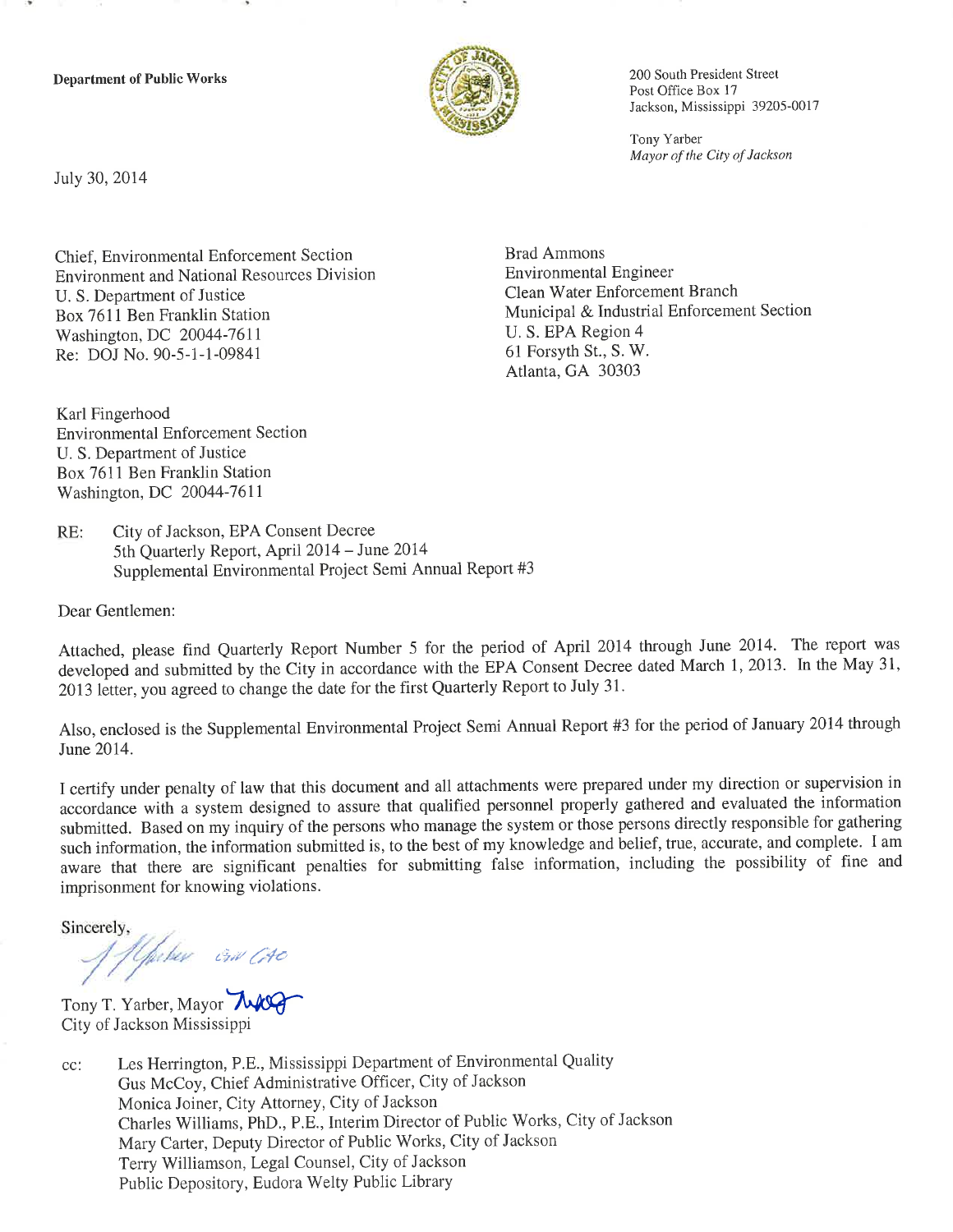**Department of Public Works** 



200 South President Street Post Office Box 17 Jackson, Mississippi 39205-0017

Tony Yarber Mayor of the City of Jackson

July 30, 2014

Chief, Environmental Enforcement Section **Environment and National Resources Division** U. S. Department of Justice Box 7611 Ben Franklin Station Washington, DC 20044-7611 Re: DOJ No. 90-5-1-1-09841

**Brad Ammons** Environmental Engineer Clean Water Enforcement Branch Municipal & Industrial Enforcement Section U.S. EPA Region 4 61 Forsyth St., S. W. Atlanta, GA 30303

Karl Fingerhood **Environmental Enforcement Section** U. S. Department of Justice Box 7611 Ben Franklin Station Washington, DC 20044-7611

RE: City of Jackson, EPA Consent Decree 5th Quarterly Report, April 2014 - June 2014 Supplemental Environmental Project Semi Annual Report #3

Dear Gentlemen:

Attached, please find Quarterly Report Number 5 for the period of April 2014 through June 2014. The report was developed and submitted by the City in accordance with the EPA Consent Decree dated March 1, 2013. In the May 31, 2013 letter, you agreed to change the date for the first Quarterly Report to July 31.

Also, enclosed is the Supplemental Environmental Project Semi Annual Report #3 for the period of January 2014 through June 2014.

I certify under penalty of law that this document and all attachments were prepared under my direction or supervision in accordance with a system designed to assure that qualified personnel properly gathered and evaluated the information submitted. Based on my inquiry of the persons who manage the system or those persons directly responsible for gathering such information, the information submitted is, to the best of my knowledge and belief, true, accurate, and complete. I am aware that there are significant penalties for submitting false information, including the possibility of fine and imprisonment for knowing violations.

Sincerely,

t fl<sub>ift</sub>abae *com Cr*ee

Tony T. Yarber, Mayor MAG City of Jackson Mississippi

Les Herrington, P.E., Mississippi Department of Environmental Quality cc: Gus McCoy, Chief Administrative Officer, City of Jackson Monica Joiner, City Attorney, City of Jackson Charles Williams, PhD., P.E., Interim Director of Public Works, City of Jackson Mary Carter, Deputy Director of Public Works, City of Jackson Terry Williamson, Legal Counsel, City of Jackson Public Depository, Eudora Welty Public Library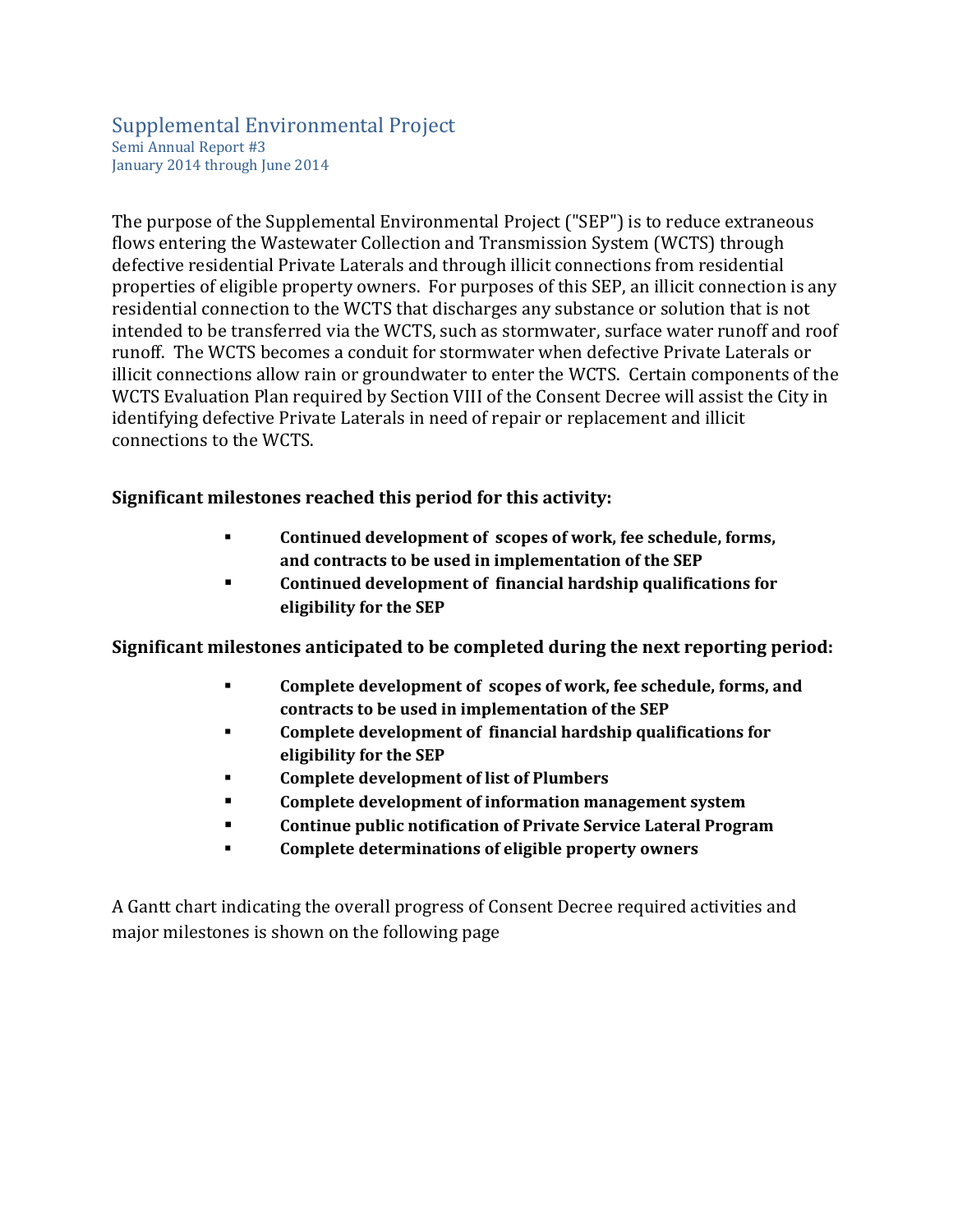## Supplemental Environmental Project Semi Annual Report #3 January 2014 through June 2014

The purpose of the Supplemental Environmental Project ("SEP") is to reduce extraneous flows entering the Wastewater Collection and Transmission System (WCTS) through defective residential Private Laterals and through illicit connections from residential properties of eligible property owners. For purposes of this SEP, an illicit connection is any residential connection to the WCTS that discharges any substance or solution that is not intended to be transferred via the WCTS, such as stormwater, surface water runoff and roof runoff. The WCTS becomes a conduit for stormwater when defective Private Laterals or illicit connections allow rain or groundwater to enter the WCTS. Certain components of the WCTS Evaluation Plan required by Section VIII of the Consent Decree will assist the City in identifying defective Private Laterals in need of repair or replacement and illicit connections to the WCTS.

## **Significant milestones reached this period for this activity:**

- **Continued development of scopes of work, fee schedule, forms, and contracts to be used in implementation of the SEP**
- **Continued development of financial hardship qualifications for eligibility for the SEP**

**Significant milestones anticipated to be completed during the next reporting period:**

- **Complete development of scopes of work, fee schedule, forms, and contracts to be used in implementation of the SEP**
- **Complete development of financial hardship qualifications for eligibility for the SEP**
- **Complete development of list of Plumbers**
- **Complete development of information management system**
- **Continue public notification of Private Service Lateral Program**
- **Complete determinations of eligible property owners**

A Gantt chart indicating the overall progress of Consent Decree required activities and major milestones is shown on the following page